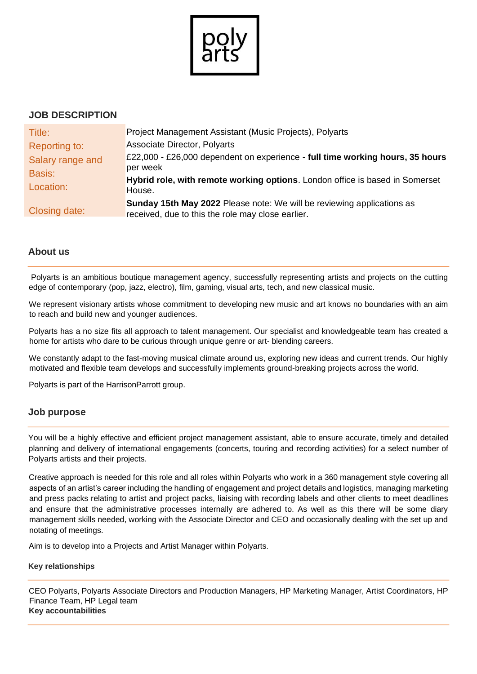

# **JOB DESCRIPTION**

| Title:           | Project Management Assistant (Music Projects), Polyarts                                                                            |  |  |  |  |  |
|------------------|------------------------------------------------------------------------------------------------------------------------------------|--|--|--|--|--|
| Reporting to:    | <b>Associate Director, Polyarts</b>                                                                                                |  |  |  |  |  |
| Salary range and | £22,000 - £26,000 dependent on experience - full time working hours, 35 hours                                                      |  |  |  |  |  |
| <b>Basis:</b>    | per week                                                                                                                           |  |  |  |  |  |
| Location:        | Hybrid role, with remote working options. London office is based in Somerset<br>House.                                             |  |  |  |  |  |
| Closing date:    | <b>Sunday 15th May 2022</b> Please note: We will be reviewing applications as<br>received, due to this the role may close earlier. |  |  |  |  |  |

# **About us**

Polyarts is an ambitious boutique management agency, successfully representing artists and projects on the cutting edge of contemporary (pop, jazz, electro), film, gaming, visual arts, tech, and new classical music.

We represent visionary artists whose commitment to developing new music and art knows no boundaries with an aim to reach and build new and younger audiences.

Polyarts has a no size fits all approach to talent management. Our specialist and knowledgeable team has created a home for artists who dare to be curious through unique genre or art- blending careers.

We constantly adapt to the fast-moving musical climate around us, exploring new ideas and current trends. Our highly motivated and flexible team develops and successfully implements ground-breaking projects across the world.

Polyarts is part of the HarrisonParrott group.

# **Job purpose**

You will be a highly effective and efficient project management assistant, able to ensure accurate, timely and detailed planning and delivery of international engagements (concerts, touring and recording activities) for a select number of Polyarts artists and their projects.

Creative approach is needed for this role and all roles within Polyarts who work in a 360 management style covering all aspects of an artist's career including the handling of engagement and project details and logistics, managing marketing and press packs relating to artist and project packs, liaising with recording labels and other clients to meet deadlines and ensure that the administrative processes internally are adhered to. As well as this there will be some diary management skills needed, working with the Associate Director and CEO and occasionally dealing with the set up and notating of meetings.

Aim is to develop into a Projects and Artist Manager within Polyarts.

### **Key relationships**

CEO Polyarts, Polyarts Associate Directors and Production Managers, HP Marketing Manager, Artist Coordinators, HP Finance Team, HP Legal team **Key accountabilities**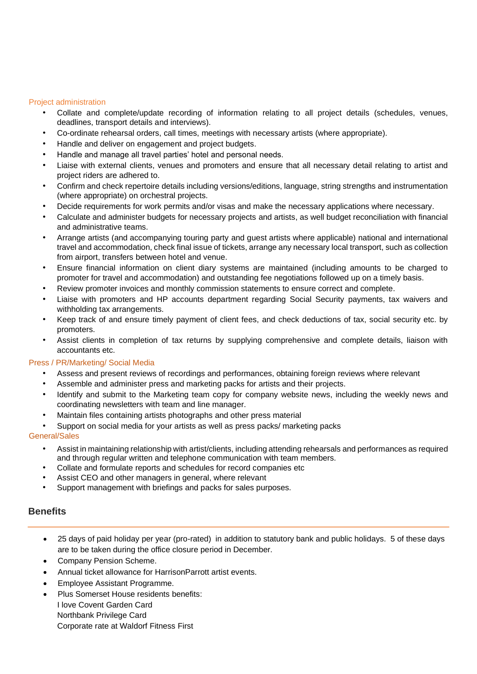#### Project administration

- Collate and complete/update recording of information relating to all project details (schedules, venues, deadlines, transport details and interviews).
- Co-ordinate rehearsal orders, call times, meetings with necessary artists (where appropriate).
- Handle and deliver on engagement and project budgets.
- Handle and manage all travel parties' hotel and personal needs.
- Liaise with external clients, venues and promoters and ensure that all necessary detail relating to artist and project riders are adhered to.
- Confirm and check repertoire details including versions/editions, language, string strengths and instrumentation (where appropriate) on orchestral projects.
- Decide requirements for work permits and/or visas and make the necessary applications where necessary.
- Calculate and administer budgets for necessary projects and artists, as well budget reconciliation with financial and administrative teams.
- Arrange artists (and accompanying touring party and guest artists where applicable) national and international travel and accommodation, check final issue of tickets, arrange any necessary local transport, such as collection from airport, transfers between hotel and venue.
- Ensure financial information on client diary systems are maintained (including amounts to be charged to promoter for travel and accommodation) and outstanding fee negotiations followed up on a timely basis.
- Review promoter invoices and monthly commission statements to ensure correct and complete.
- Liaise with promoters and HP accounts department regarding Social Security payments, tax waivers and withholding tax arrangements.
- Keep track of and ensure timely payment of client fees, and check deductions of tax, social security etc. by promoters.
- Assist clients in completion of tax returns by supplying comprehensive and complete details, liaison with accountants etc.

### Press / PR/Marketing/ Social Media

- Assess and present reviews of recordings and performances, obtaining foreign reviews where relevant
- Assemble and administer press and marketing packs for artists and their projects.
- Identify and submit to the Marketing team copy for company website news, including the weekly news and coordinating newsletters with team and line manager.
- Maintain files containing artists photographs and other press material
- Support on social media for your artists as well as press packs/ marketing packs

### General/Sales

- Assist in maintaining relationship with artist/clients, including attending rehearsals and performances as required and through regular written and telephone communication with team members.
- Collate and formulate reports and schedules for record companies etc
- Assist CEO and other managers in general, where relevant
- Support management with briefings and packs for sales purposes.

## **Benefits**

- 25 days of paid holiday per year (pro-rated) in addition to statutory bank and public holidays. 5 of these days are to be taken during the office closure period in December.
- Company Pension Scheme.
- Annual ticket allowance for HarrisonParrott artist events.
- Employee Assistant Programme.
- Plus Somerset House residents benefits: I love Covent Garden Card Northbank Privilege Card Corporate rate at Waldorf Fitness First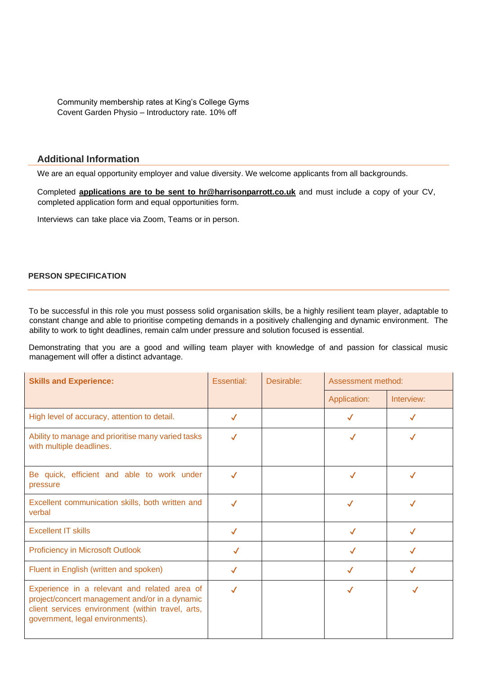Community membership rates at King's College Gyms Covent Garden Physio – Introductory rate. 10% off

### **Additional Information**

We are an equal opportunity employer and value diversity. We welcome applicants from all backgrounds.

Completed **applications are to be sent to [hr@harrisonparrott.co.uk](mailto:hr@harrisonparrott.co.uk)** and must include a copy of your CV, completed application form and equal opportunities form.

Interviews can take place via Zoom, Teams or in person.

#### **PERSON SPECIFICATION**

To be successful in this role you must possess solid organisation skills, be a highly resilient team player, adaptable to constant change and able to prioritise competing demands in a positively challenging and dynamic environment. The ability to work to tight deadlines, remain calm under pressure and solution focused is essential.

Demonstrating that you are a good and willing team player with knowledge of and passion for classical music management will offer a distinct advantage.

| <b>Skills and Experience:</b>                                                                                                                                                           | Essential:   | Desirable: | Assessment method: |            |
|-----------------------------------------------------------------------------------------------------------------------------------------------------------------------------------------|--------------|------------|--------------------|------------|
|                                                                                                                                                                                         |              |            | Application:       | Interview: |
| High level of accuracy, attention to detail.                                                                                                                                            | $\checkmark$ |            | $\checkmark$       | √          |
| Ability to manage and prioritise many varied tasks<br>with multiple deadlines.                                                                                                          | $\checkmark$ |            |                    |            |
| Be quick, efficient and able to work under<br>pressure                                                                                                                                  | $\checkmark$ |            | ✓                  |            |
| Excellent communication skills, both written and<br>verbal                                                                                                                              | $\checkmark$ |            | $\checkmark$       |            |
| <b>Excellent IT skills</b>                                                                                                                                                              | $\checkmark$ |            | $\checkmark$       | ✓          |
| <b>Proficiency in Microsoft Outlook</b>                                                                                                                                                 | ✓            |            | $\checkmark$       |            |
| Fluent in English (written and spoken)                                                                                                                                                  | $\checkmark$ |            | √                  |            |
| Experience in a relevant and related area of<br>project/concert management and/or in a dynamic<br>client services environment (within travel, arts,<br>government, legal environments). | $\checkmark$ |            |                    |            |